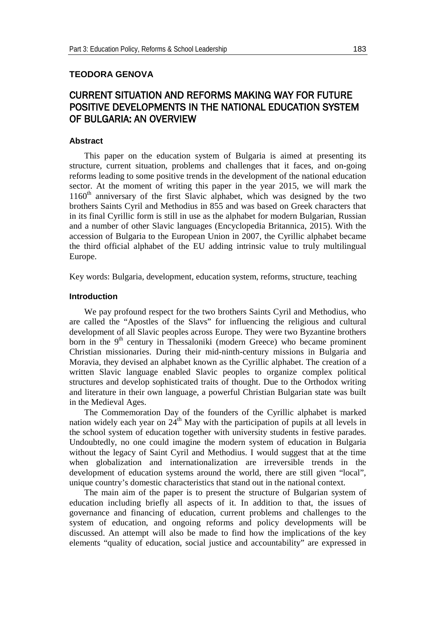# **TEODORA GENOVA**

# CURRENT SITUATION AND REFORMS MAKING WAY FOR FUTURE POSITIVE DEVELOPMENTS IN THE NATIONAL EDUCATION SYSTEM OF BULGARIA: AN OVERVIEW

## **Abstract**

This paper on the education system of Bulgaria is aimed at presenting its structure, current situation, problems and challenges that it faces, and on-going reforms leading to some positive trends in the development of the national education sector. At the moment of writing this paper in the year 2015, we will mark the  $1160<sup>th</sup>$  anniversary of the first Slavic alphabet, which was designed by the two brothers Saints Cyril and Methodius in 855 and was based on Greek characters that in its final Cyrillic form is still in use as the alphabet for modern Bulgarian, Russian and a number of other Slavic languages (Encyclopedia Britannica, 2015). With the accession of Bulgaria to the European Union in 2007, the Cyrillic alphabet became the third official alphabet of the EU adding intrinsic value to truly multilingual Europe.

Key words: Bulgaria, development, education system, reforms, structure, teaching

#### **Introduction**

We pay profound respect for the two brothers Saints Cyril and Methodius, who are called the "Apostles of the Slavs" for influencing the religious and cultural development of all Slavic peoples across Europe. They were two Byzantine brothers born in the 9<sup>th</sup> century in Thessaloniki (modern Greece) who became prominent Christian missionaries. During their mid-ninth-century missions in Bulgaria and Moravia, they devised an alphabet known as the Cyrillic alphabet. The creation of a written Slavic language enabled Slavic peoples to organize complex political structures and develop sophisticated traits of thought. Due to the Orthodox writing and literature in their own language, a powerful Christian Bulgarian state was built in the Medieval Ages.

The Commemoration Day of the founders of the Cyrillic alphabet is marked nation widely each year on  $24<sup>th</sup>$  May with the participation of pupils at all levels in the school system of education together with university students in festive parades. Undoubtedly, no one could imagine the modern system of education in Bulgaria without the legacy of Saint Cyril and Methodius. I would suggest that at the time when globalization and internationalization are irreversible trends in the development of education systems around the world, there are still given "local", unique country's domestic characteristics that stand out in the national context.

The main aim of the paper is to present the structure of Bulgarian system of education including briefly all aspects of it. In addition to that, the issues of governance and financing of education, current problems and challenges to the system of education, and ongoing reforms and policy developments will be discussed. An attempt will also be made to find how the implications of the key elements "quality of education, social justice and accountability" are expressed in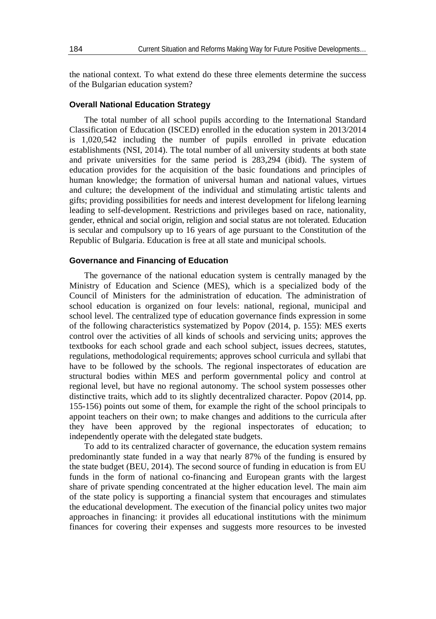the national context. To what extend do these three elements determine the success of the Bulgarian education system?

#### **Overall National Education Strategy**

The total number of all school pupils according to the International Standard Classification of Education (ISCED) enrolled in the education system in 2013/2014 is 1,020,542 including the number of pupils enrolled in private education establishments (NSI, 2014). The total number of all university students at both state and private universities for the same period is 283,294 (ibid). The system of education provides for the acquisition of the basic foundations and principles of human knowledge; the formation of universal human and national values, virtues and culture; the development of the individual and stimulating artistic talents and gifts; providing possibilities for needs and interest development for lifelong learning leading to self-development. Restrictions and privileges based on race, nationality, gender, ethnical and social origin, religion and social status are not tolerated. Education is secular and compulsory up to 16 years of age pursuant to the Constitution of the Republic of Bulgaria. Education is free at all state and municipal schools.

### **Governance and Financing of Education**

The governance of the national education system is centrally managed by the Ministry of Education and Science (MES), which is a specialized body of the Council of Ministers for the administration of education. The administration of school education is organized on four levels: national, regional, municipal and school level. The centralized type of education governance finds expression in some of the following characteristics systematized by Popov (2014, p. 155): MES exerts control over the activities of all kinds of schools and servicing units; approves the textbooks for each school grade and each school subject, issues decrees, statutes, regulations, methodological requirements; approves school curricula and syllabi that have to be followed by the schools. The regional inspectorates of education are structural bodies within MES and perform governmental policy and control at regional level, but have no regional autonomy. The school system possesses other distinctive traits, which add to its slightly decentralized character. Popov (2014, pp. 155-156) points out some of them, for example the right of the school principals to appoint teachers on their own; to make changes and additions to the curricula after they have been approved by the regional inspectorates of education; to independently operate with the delegated state budgets.

To add to its centralized character of governance, the education system remains predominantly state funded in a way that nearly 87% of the funding is ensured by the state budget (BEU, 2014). The second source of funding in education is from EU funds in the form of national co-financing and European grants with the largest share of private spending concentrated at the higher education level. The main aim of the state policy is supporting a financial system that encourages and stimulates the educational development. The execution of the financial policy unites two major approaches in financing: it provides all educational institutions with the minimum finances for covering their expenses and suggests more resources to be invested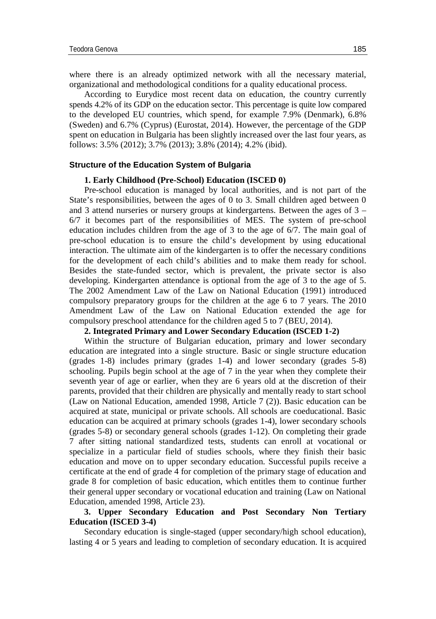where there is an already optimized network with all the necessary material, organizational and methodological conditions for a quality educational process.

According to Eurydice most recent data on education, the country currently spends 4.2% of its GDP on the education sector. This percentage is quite low compared to the developed EU countries, which spend, for example 7.9% (Denmark), 6.8% (Sweden) and 6.7% (Cyprus) (Eurostat, 2014). However, the percentage of the GDP spent on education in Bulgaria has been slightly increased over the last four years, as follows: 3.5% (2012); 3.7% (2013); 3.8% (2014); 4.2% (ibid).

#### **Structure of the Education System of Bulgaria**

#### **1. Early Childhood (Pre-School) Education (ISCED 0)**

Pre-school education is managed by local authorities, and is not part of the State's responsibilities, between the ages of 0 to 3. Small children aged between 0 and 3 attend nurseries or nursery groups at kindergartens. Between the ages of 3 – 6/7 it becomes part of the responsibilities of MES. The system of pre-school education includes children from the age of 3 to the age of 6/7. The main goal of pre-school education is to ensure the child's development by using educational interaction. The ultimate aim of the kindergarten is to offer the necessary conditions for the development of each child's abilities and to make them ready for school. Besides the state-funded sector, which is prevalent, the private sector is also developing. Kindergarten attendance is optional from the age of 3 to the age of 5. The 2002 Amendment Law of the Law on National Education (1991) introduced compulsory preparatory groups for the children at the age 6 to 7 years. The 2010 Amendment Law of the Law on National Education extended the age for compulsory preschool attendance for the children aged 5 to 7 (BEU, 2014).

## **2. Integrated Primary and Lower Secondary Education (ISCED 1-2)**

Within the structure of Bulgarian education, primary and lower secondary education are integrated into a single structure. Basic or single structure education (grades 1-8) includes primary (grades 1-4) and lower secondary (grades 5-8) schooling. Pupils begin school at the age of 7 in the year when they complete their seventh year of age or earlier, when they are 6 years old at the discretion of their parents, provided that their children are physically and mentally ready to start school (Law on National Education, amended 1998, Article 7 (2)). Basic education can be acquired at state, municipal or private schools. All schools are coeducational. Basic education can be acquired at primary schools (grades 1-4), lower secondary schools (grades 5-8) or secondary general schools (grades 1-12). On completing their grade 7 after sitting national standardized tests, students can enroll at vocational or specialize in a particular field of studies schools, where they finish their basic education and move on to upper secondary education. Successful pupils receive a certificate at the end of grade 4 for completion of the primary stage of education and grade 8 for completion of basic education, which entitles them to continue further their general upper secondary or vocational education and training (Law on National Education, amended 1998, Article 23).

# **3. Upper Secondary Education and Post Secondary Non Tertiary Education (ISCED 3-4)**

Secondary education is single-staged (upper secondary/high school education), lasting 4 or 5 years and leading to completion of secondary education. It is acquired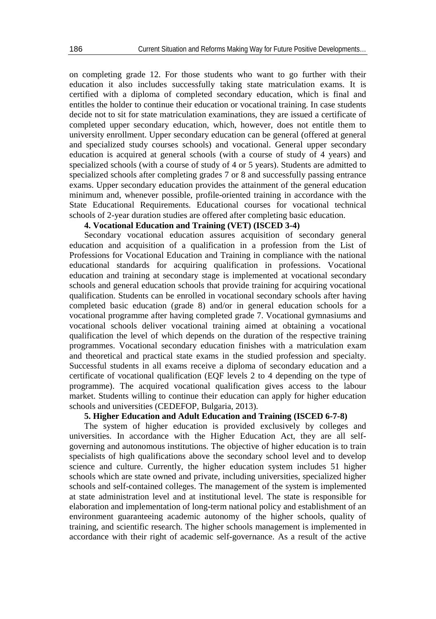on completing grade 12. For those students who want to go further with their education it also includes successfully taking state matriculation exams. It is certified with a diploma of completed secondary education, which is final and entitles the holder to continue their education or vocational training. In case students decide not to sit for state matriculation examinations, they are issued a certificate of completed upper secondary education, which, however, does not entitle them to university enrollment. Upper secondary education can be general (offered at general and specialized study courses schools) and vocational. General upper secondary education is acquired at general schools (with a course of study of 4 years) and specialized schools (with a course of study of 4 or 5 years). Students are admitted to specialized schools after completing grades 7 or 8 and successfully passing entrance exams. Upper secondary education provides the attainment of the general education minimum and, whenever possible, profile-oriented training in accordance with the State Educational Requirements. Educational courses for vocational technical schools of 2-year duration studies are offered after completing basic education.

# **4. Vocational Education and Training (VET) (ISCED 3-4)**

Secondary vocational education assures acquisition of secondary general education and acquisition of a qualification in a profession from the List of Professions for Vocational Education and Training in compliance with the national educational standards for acquiring qualification in professions. Vocational education and training at secondary stage is implemented at vocational secondary schools and general education schools that provide training for acquiring vocational qualification. Students can be enrolled in vocational secondary schools after having completed basic education (grade 8) and/or in general education schools for a vocational programme after having completed grade 7. Vocational gymnasiums and vocational schools deliver vocational training aimed at obtaining a vocational qualification the level of which depends on the duration of the respective training programmes. Vocational secondary education finishes with a matriculation exam and theoretical and practical state exams in the studied profession and specialty. Successful students in all exams receive a diploma of secondary education and a certificate of vocational qualification (EQF levels 2 to 4 depending on the type of programme). The acquired vocational qualification gives access to the labour market. Students willing to continue their education can apply for higher education schools and universities (CEDEFOP, Bulgaria, 2013).

# **5. Higher Education and Adult Education and Training (ISCED 6-7-8)**

The system of higher education is provided exclusively by colleges and universities. In accordance with the Higher Education Act, they are all selfgoverning and autonomous institutions. The objective of higher education is to train specialists of high qualifications above the secondary school level and to develop science and culture. Currently, the higher education system includes 51 higher schools which are state owned and private, including universities, specialized higher schools and self-contained colleges. The management of the system is implemented at state administration level and at institutional level. The state is responsible for elaboration and implementation of long-term national policy and establishment of an environment guaranteeing academic autonomy of the higher schools, quality of training, and scientific research. The higher schools management is implemented in accordance with their right of academic self-governance. As a result of the active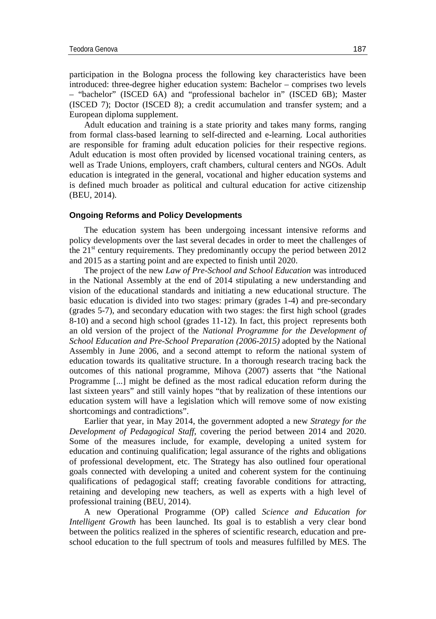participation in the Bologna process the following key characteristics have been introduced: three-degree higher education system: Bachelor – comprises two levels – "bachelor" (ISCED 6A) and "professional bachelor in" (ISCED 6B); Master (ISCED 7); Doctor (ISCED 8); a credit accumulation and transfer system; and a European diploma supplement.

Adult education and training is a state priority and takes many forms, ranging from formal class-based learning to self-directed and e-learning. Local authorities are responsible for framing adult education policies for their respective regions. Adult education is most often provided by licensed vocational training centers, as well as Trade Unions, employers, craft chambers, cultural centers and NGOs. Adult education is integrated in the general, vocational and higher education systems and is defined much broader as political and cultural education for active citizenship (BEU, 2014).

#### **Ongoing Reforms and Policy Developments**

The education system has been undergoing incessant intensive reforms and policy developments over the last several decades in order to meet the challenges of the  $21<sup>st</sup>$  century requirements. They predominantly occupy the period between 2012 and 2015 as a starting point and are expected to finish until 2020.

The project of the new *Law of Pre-School and School Education* was introduced in the National Assembly at the end of 2014 stipulating a new understanding and vision of the educational standards and initiating a new educational structure. The basic education is divided into two stages: primary (grades 1-4) and pre-secondary (grades 5-7), and secondary education with two stages: the first high school (grades 8-10) and a second high school (grades 11-12). In fact, this project represents both an old version of the project of the *National Programme for the Development of School Education and Pre-School Preparation (2006-2015)* adopted by the National Assembly in June 2006, and a second attempt to reform the national system of education towards its qualitative structure. In a thorough research tracing back the outcomes of this national programme, Mihova (2007) asserts that "the National Programme [...] might be defined as the most radical education reform during the last sixteen years" and still vainly hopes "that by realization of these intentions our education system will have a legislation which will remove some of now existing shortcomings and contradictions".

Earlier that year, in May 2014, the government adopted a new *Strategy for the Development of Pedagogical Staff*, covering the period between 2014 and 2020. Some of the measures include, for example, developing a united system for education and continuing qualification; legal assurance of the rights and obligations of professional development, etc. The Strategy has also outlined four operational goals connected with developing a united and coherent system for the continuing qualifications of pedagogical staff; creating favorable conditions for attracting, retaining and developing new teachers, as well as experts with a high level of professional training (BEU, 2014).

A new Operational Programme (OP) called *Science and Education for Intelligent Growth* has been launched. Its goal is to establish a very clear bond between the politics realized in the spheres of scientific research, education and preschool education to the full spectrum of tools and measures fulfilled by MES. The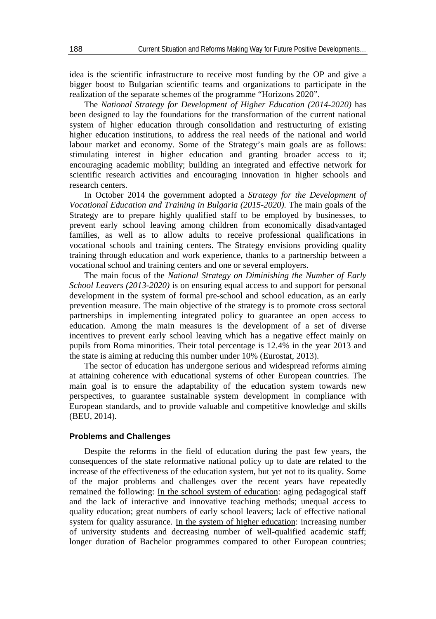idea is the scientific infrastructure to receive most funding by the OP and give a bigger boost to Bulgarian scientific teams and organizations to participate in the realization of the separate schemes of the programme "Horizons 2020".

The *National Strategy for Development of Higher Education (2014-2020)* has been designed to lay the foundations for the transformation of the current national system of higher education through consolidation and restructuring of existing higher education institutions, to address the real needs of the national and world labour market and economy. Some of the Strategy's main goals are as follows: stimulating interest in higher education and granting broader access to it; encouraging academic mobility; building an integrated and effective network for scientific research activities and encouraging innovation in higher schools and research centers.

In October 2014 the government adopted a *Strategy for the Development of Vocational Education and Training in Bulgaria (2015-2020)*. The main goals of the Strategy are to prepare highly qualified staff to be employed by businesses, to prevent early school leaving among children from economically disadvantaged families, as well as to allow adults to receive professional qualifications in vocational schools and training centers. The Strategy envisions providing quality training through education and work experience, thanks to a partnership between a vocational school and training centers and one or several employers.

The main focus of the *National Strategy on Diminishing the Number of Early School Leavers (2013-2020)* is on ensuring equal access to and support for personal development in the system of formal pre-school and school education, as an early prevention measure. The main objective of the strategy is to promote cross sectoral partnerships in implementing integrated policy to guarantee an open access to education. Among the main measures is the development of a set of diverse incentives to prevent early school leaving which has a negative effect mainly on pupils from Roma minorities. Their total percentage is 12.4% in the year 2013 and the state is aiming at reducing this number under 10% (Eurostat, 2013).

The sector of education has undergone serious and widespread reforms aiming at attaining coherence with educational systems of other European countries. The main goal is to ensure the adaptability of the education system towards new perspectives, to guarantee sustainable system development in compliance with European standards, and to provide valuable and competitive knowledge and skills (BEU, 2014).

#### **Problems and Challenges**

Despite the reforms in the field of education during the past few years, the consequences of the state reformative national policy up to date are related to the increase of the effectiveness of the education system, but yet not to its quality. Some of the major problems and challenges over the recent years have repeatedly remained the following: In the school system of education: aging pedagogical staff and the lack of interactive and innovative teaching methods; unequal access to quality education; great numbers of early school leavers; lack of effective national system for quality assurance. In the system of higher education: increasing number of university students and decreasing number of well-qualified academic staff; longer duration of Bachelor programmes compared to other European countries;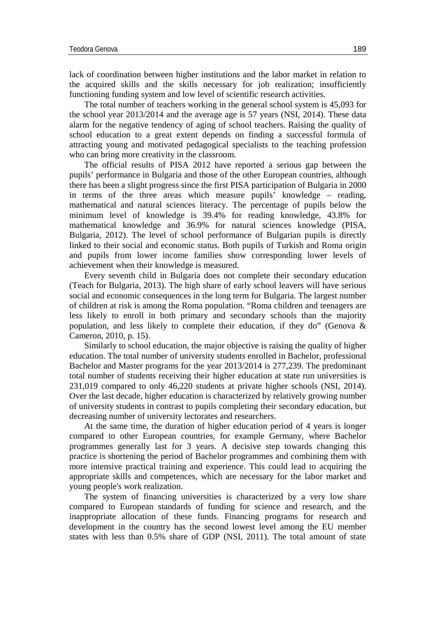lack of coordination between higher institutions and the labor market in relation to the acquired skills and the skills necessary for job realization; insufficiently functioning funding system and low level of scientific research activities.

The total number of teachers working in the general school system is 45,093 for the school year 2013/2014 and the average age is 57 years (NSI, 2014). These data alarm for the negative tendency of aging of school teachers. Raising the quality of school education to a great extent depends on finding a successful formula of attracting young and motivated pedagogical specialists to the teaching profession who can bring more creativity in the classroom.

The official results of PISA 2012 have reported a serious gap between the pupils' performance in Bulgaria and those of the other European countries, although there has been a slight progress since the first PISA participation of Bulgaria in 2000 in terms of the three areas which measure pupils' knowledge – reading, mathematical and natural sciences literacy. The percentage of pupils below the minimum level of knowledge is 39.4% for reading knowledge, 43.8% for mathematical knowledge and 36.9% for natural sciences knowledge (PISA, Bulgaria, 2012). The level of school performance of Bulgarian pupils is directly linked to their social and economic status. Both pupils of Turkish and Roma origin and pupils from lower income families show corresponding lower levels of achievement when their knowledge is measured.

Every seventh child in Bulgaria does not complete their secondary education (Teach for Bulgaria, 2013). The high share of early school leavers will have serious social and economic consequences in the long term for Bulgaria. The largest number of children at risk is among the Roma population. "Roma children and teenagers are less likely to enroll in both primary and secondary schools than the majority population, and less likely to complete their education, if they do" (Genova  $\&$ Cameron, 2010, p. 15).

Similarly to school education, the major objective is raising the quality of higher education. The total number of university students enrolled in Bachelor, professional Bachelor and Master programs for the year 2013/2014 is 277,239. The predominant total number of students receiving their higher education at state run universities is 231,019 compared to only 46,220 students at private higher schools (NSI, 2014). Over the last decade, higher education is characterized by relatively growing number of university students in contrast to pupils completing their secondary education, but decreasing number of university lectorates and researchers.

At the same time, the duration of higher education period of 4 years is longer compared to other European countries, for example Germany, where Bachelor programmes generally last for 3 years. A decisive step towards changing this practice is shortening the period of Bachelor programmes and combining them with more intensive practical training and experience. This could lead to acquiring the appropriate skills and competences, which are necessary for the labor market and young people's work realization.

The system of financing universities is characterized by a very low share compared to European standards of funding for science and research, and the inappropriate allocation of these funds. Financing programs for research and development in the country has the second lowest level among the EU member states with less than 0.5% share of GDP (NSI, 2011). The total amount of state